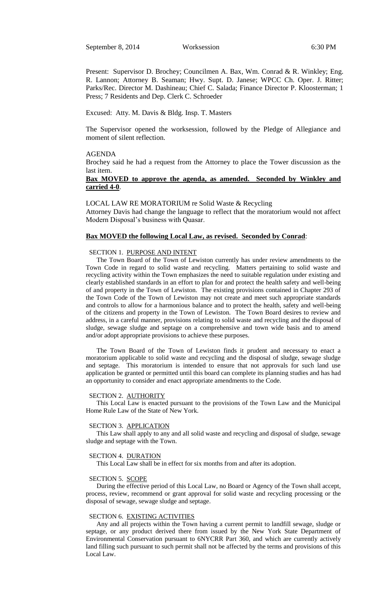Present: Supervisor D. Brochey; Councilmen A. Bax, Wm. Conrad & R. Winkley; Eng. R. Lannon; Attorney B. Seaman; Hwy. Supt. D. Janese; WPCC Ch. Oper. J. Ritter; Parks/Rec. Director M. Dashineau; Chief C. Salada; Finance Director P. Kloosterman; 1 Press; 7 Residents and Dep. Clerk C. Schroeder

Excused: Atty. M. Davis & Bldg. Insp. T. Masters

The Supervisor opened the worksession, followed by the Pledge of Allegiance and moment of silent reflection.

### AGENDA

Brochey said he had a request from the Attorney to place the Tower discussion as the last item.

## **Bax MOVED to approve the agenda, as amended. Seconded by Winkley and carried 4-0**.

LOCAL LAW RE MORATORIUM re Solid Waste & Recycling Attorney Davis had change the language to reflect that the moratorium would not affect Modern Disposal's business with Quasar.

# **Bax MOVED the following Local Law, as revised. Seconded by Conrad**:

### SECTION 1. PURPOSE AND INTENT

The Town Board of the Town of Lewiston currently has under review amendments to the Town Code in regard to solid waste and recycling. Matters pertaining to solid waste and recycling activity within the Town emphasizes the need to suitable regulation under existing and clearly established standards in an effort to plan for and protect the health safety and well-being of and property in the Town of Lewiston. The existing provisions contained in Chapter 293 of the Town Code of the Town of Lewiston may not create and meet such appropriate standards and controls to allow for a harmonious balance and to protect the health, safety and well-being of the citizens and property in the Town of Lewiston. The Town Board desires to review and address, in a careful manner, provisions relating to solid waste and recycling and the disposal of sludge, sewage sludge and septage on a comprehensive and town wide basis and to amend and/or adopt appropriate provisions to achieve these purposes.

The Town Board of the Town of Lewiston finds it prudent and necessary to enact a moratorium applicable to solid waste and recycling and the disposal of sludge, sewage sludge and septage. This moratorium is intended to ensure that not approvals for such land use application be granted or permitted until this board can complete its planning studies and has had an opportunity to consider and enact appropriate amendments to the Code.

#### SECTION 2. AUTHORITY

This Local Law is enacted pursuant to the provisions of the Town Law and the Municipal Home Rule Law of the State of New York.

#### SECTION 3. APPLICATION

This Law shall apply to any and all solid waste and recycling and disposal of sludge, sewage sludge and septage with the Town.

#### SECTION 4. DURATION

This Local Law shall be in effect for six months from and after its adoption.

#### SECTION 5. SCOPE

During the effective period of this Local Law, no Board or Agency of the Town shall accept, process, review, recommend or grant approval for solid waste and recycling processing or the disposal of sewage, sewage sludge and septage.

#### SECTION 6. EXISTING ACTIVITIES

Any and all projects within the Town having a current permit to landfill sewage, sludge or septage, or any product derived there from issued by the New York State Department of Environmental Conservation pursuant to 6NYCRR Part 360, and which are currently actively land filling such pursuant to such permit shall not be affected by the terms and provisions of this Local Law.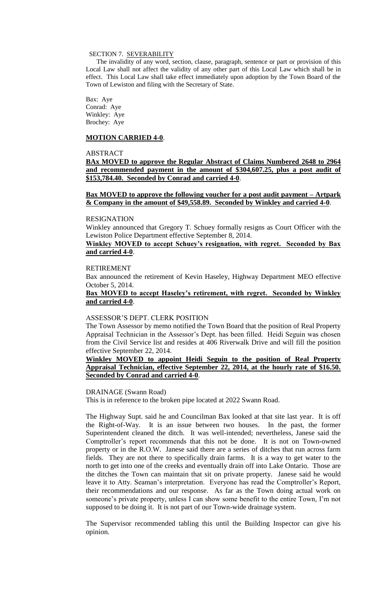### SECTION 7. SEVERABILITY

The invalidity of any word, section, clause, paragraph, sentence or part or provision of this Local Law shall not affect the validity of any other part of this Local Law which shall be in effect. This Local Law shall take effect immediately upon adoption by the Town Board of the Town of Lewiston and filing with the Secretary of State.

Bax: Aye Conrad: Aye Winkley: Aye Brochey: Aye

### **MOTION CARRIED 4-0**.

# ABSTRACT

**BAx MOVED to approve the Regular Abstract of Claims Numbered 2648 to 2964 and recommended payment in the amount of \$304,607.25, plus a post audit of \$153,784.40. Seconded by Conrad and carried 4-0**.

**Bax MOVED to approve the following voucher for a post audit payment – Artpark & Company in the amount of \$49,558.89. Seconded by Winkley and carried 4-0**.

### RESIGNATION

Winkley announced that Gregory T. Schuey formally resigns as Court Officer with the Lewiston Police Department effective September 8, 2014.

### **Winkley MOVED to accept Schuey's resignation, with regret. Seconded by Bax and carried 4-0**.

### RETIREMENT

Bax announced the retirement of Kevin Haseley, Highway Department MEO effective October 5, 2014.

### **Bax MOVED to accept Haseley's retirement, with regret. Seconded by Winkley and carried 4-0**.

### ASSESSOR'S DEPT. CLERK POSITION

The Town Assessor by memo notified the Town Board that the position of Real Property Appraisal Technician in the Assessor's Dept. has been filled. Heidi Seguin was chosen from the Civil Service list and resides at 406 Riverwalk Drive and will fill the position effective September 22, 2014.

## **Winkley MOVED to appoint Heidi Seguin to the position of Real Property Appraisal Technician, effective September 22, 2014, at the hourly rate of \$16.50. Seconded by Conrad and carried 4-0**.

### DRAINAGE (Swann Road)

This is in reference to the broken pipe located at 2022 Swann Road.

The Highway Supt. said he and Councilman Bax looked at that site last year. It is off the Right-of-Way. It is an issue between two houses. In the past, the former Superintendent cleaned the ditch. It was well-intended; nevertheless, Janese said the Comptroller's report recommends that this not be done. It is not on Town-owned property or in the R.O.W. Janese said there are a series of ditches that run across farm fields. They are not there to specifically drain farms. It is a way to get water to the north to get into one of the creeks and eventually drain off into Lake Ontario. Those are the ditches the Town can maintain that sit on private property. Janese said he would leave it to Atty. Seaman's interpretation. Everyone has read the Comptroller's Report, their recommendations and our response. As far as the Town doing actual work on someone's private property, unless I can show some benefit to the entire Town, I'm not supposed to be doing it. It is not part of our Town-wide drainage system.

The Supervisor recommended tabling this until the Building Inspector can give his opinion.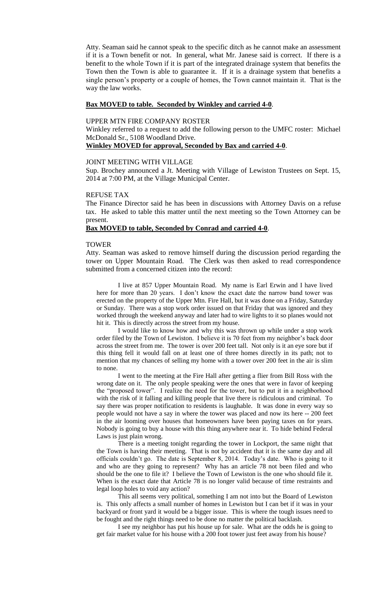Atty. Seaman said he cannot speak to the specific ditch as he cannot make an assessment if it is a Town benefit or not. In general, what Mr. Janese said is correct. If there is a benefit to the whole Town if it is part of the integrated drainage system that benefits the Town then the Town is able to guarantee it. If it is a drainage system that benefits a single person's property or a couple of homes, the Town cannot maintain it. That is the way the law works.

### **Bax MOVED to table. Seconded by Winkley and carried 4-0**.

## UPPER MTN FIRE COMPANY ROSTER

Winkley referred to a request to add the following person to the UMFC roster: Michael McDonald Sr., 5108 Woodland Drive.

#### **Winkley MOVED for approval, Seconded by Bax and carried 4-0**.

### JOINT MEETING WITH VILLAGE

Sup. Brochey announced a Jt. Meeting with Village of Lewiston Trustees on Sept. 15, 2014 at 7:00 PM, at the Village Municipal Center.

#### REFUSE TAX

The Finance Director said he has been in discussions with Attorney Davis on a refuse tax. He asked to table this matter until the next meeting so the Town Attorney can be present.

#### **Bax MOVED to table, Seconded by Conrad and carried 4-0**.

### **TOWER**

Atty. Seaman was asked to remove himself during the discussion period regarding the tower on Upper Mountain Road. The Clerk was then asked to read correspondence submitted from a concerned citizen into the record:

 I live at 857 Upper Mountain Road. My name is Earl Erwin and I have lived here for more than 20 years. I don't know the exact date the narrow band tower was erected on the property of the Upper Mtn. Fire Hall, but it was done on a Friday, Saturday or Sunday. There was a stop work order issued on that Friday that was ignored and they worked through the weekend anyway and later had to wire lights to it so planes would not hit it. This is directly across the street from my house.

I would like to know how and why this was thrown up while under a stop work order filed by the Town of Lewiston. I believe it is 70 feet from my neighbor's back door across the street from me. The tower is over 200 feet tall. Not only is it an eye sore but if this thing fell it would fall on at least one of three homes directly in its path; not to mention that my chances of selling my home with a tower over 200 feet in the air is slim to none.

I went to the meeting at the Fire Hall after getting a flier from Bill Ross with the wrong date on it. The only people speaking were the ones that were in favor of keeping the "proposed tower". I realize the need for the tower, but to put it in a neighborhood with the risk of it falling and killing people that live there is ridiculous and criminal. To say there was proper notification to residents is laughable. It was done in every way so people would not have a say in where the tower was placed and now its here -- 200 feet in the air looming over houses that homeowners have been paying taxes on for years. Nobody is going to buy a house with this thing anywhere near it. To hide behind Federal Laws is just plain wrong.

There is a meeting tonight regarding the tower in Lockport, the same night that the Town is having their meeting. That is not by accident that it is the same day and all officials couldn't go. The date is September 8, 2014. Today's date. Who is going to it and who are they going to represent? Why has an article 78 not been filed and who should be the one to file it? I believe the Town of Lewiston is the one who should file it. When is the exact date that Article 78 is no longer valid because of time restraints and legal loop holes to void any action?

This all seems very political, something I am not into but the Board of Lewiston is. This only affects a small number of homes in Lewiston but I can bet if it was in your backyard or front yard it would be a bigger issue. This is where the tough issues need to be fought and the right things need to be done no matter the political backlash.

I see my neighbor has put his house up for sale. What are the odds he is going to get fair market value for his house with a 200 foot tower just feet away from his house?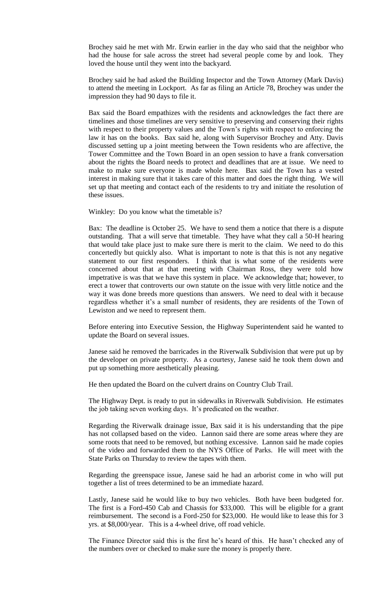Brochey said he met with Mr. Erwin earlier in the day who said that the neighbor who had the house for sale across the street had several people come by and look. They loved the house until they went into the backyard.

Brochey said he had asked the Building Inspector and the Town Attorney (Mark Davis) to attend the meeting in Lockport. As far as filing an Article 78, Brochey was under the impression they had 90 days to file it.

Bax said the Board empathizes with the residents and acknowledges the fact there are timelines and those timelines are very sensitive to preserving and conserving their rights with respect to their property values and the Town's rights with respect to enforcing the law it has on the books. Bax said he, along with Supervisor Brochey and Atty. Davis discussed setting up a joint meeting between the Town residents who are affective, the Tower Committee and the Town Board in an open session to have a frank conversation about the rights the Board needs to protect and deadlines that are at issue. We need to make to make sure everyone is made whole here. Bax said the Town has a vested interest in making sure that it takes care of this matter and does the right thing. We will set up that meeting and contact each of the residents to try and initiate the resolution of these issues.

Winkley: Do you know what the timetable is?

Bax: The deadline is October 25. We have to send them a notice that there is a dispute outstanding. That a will serve that timetable. They have what they call a 50-H hearing that would take place just to make sure there is merit to the claim. We need to do this concertedly but quickly also. What is important to note is that this is not any negative statement to our first responders. I think that is what some of the residents were concerned about that at that meeting with Chairman Ross, they were told how impetrative is was that we have this system in place. We acknowledge that; however, to erect a tower that controverts our own statute on the issue with very little notice and the way it was done breeds more questions than answers. We need to deal with it because regardless whether it's a small number of residents, they are residents of the Town of Lewiston and we need to represent them.

Before entering into Executive Session, the Highway Superintendent said he wanted to update the Board on several issues.

Janese said he removed the barricades in the Riverwalk Subdivision that were put up by the developer on private property. As a courtesy, Janese said he took them down and put up something more aesthetically pleasing.

He then updated the Board on the culvert drains on Country Club Trail.

The Highway Dept. is ready to put in sidewalks in Riverwalk Subdivision. He estimates the job taking seven working days. It's predicated on the weather.

Regarding the Riverwalk drainage issue, Bax said it is his understanding that the pipe has not collapsed based on the video. Lannon said there are some areas where they are some roots that need to be removed, but nothing excessive. Lannon said he made copies of the video and forwarded them to the NYS Office of Parks. He will meet with the State Parks on Thursday to review the tapes with them.

Regarding the greenspace issue, Janese said he had an arborist come in who will put together a list of trees determined to be an immediate hazard.

Lastly, Janese said he would like to buy two vehicles. Both have been budgeted for. The first is a Ford-450 Cab and Chassis for \$33,000. This will be eligible for a grant reimbursement. The second is a Ford-250 for \$23,000. He would like to lease this for 3 yrs. at \$8,000/year. This is a 4-wheel drive, off road vehicle.

The Finance Director said this is the first he's heard of this. He hasn't checked any of the numbers over or checked to make sure the money is properly there.